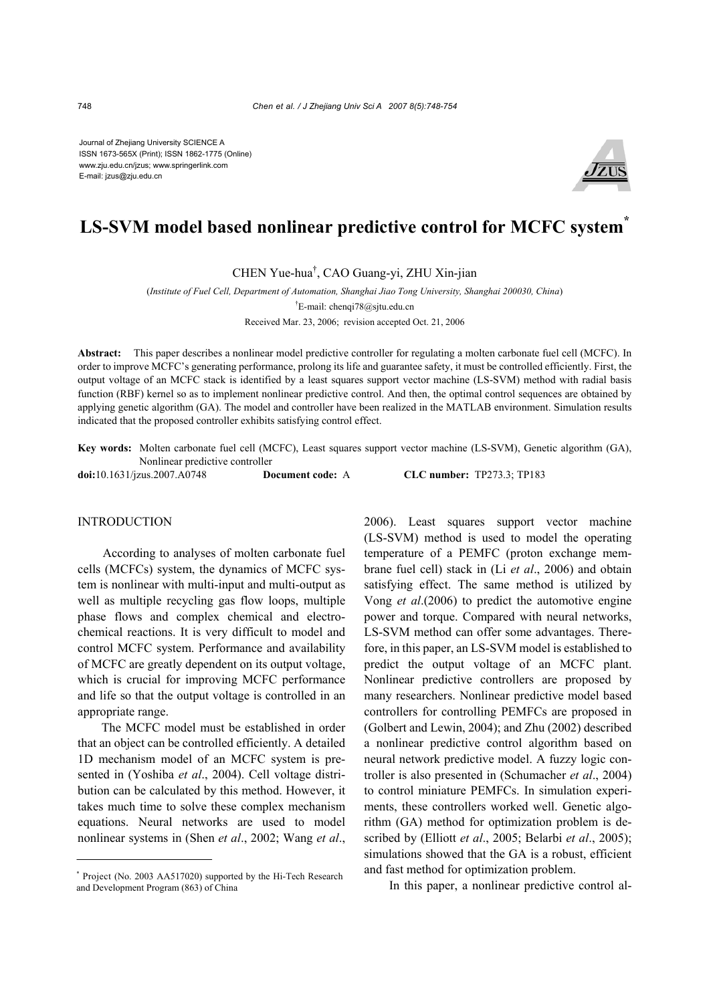Journal of Zhejiang University SCIENCE A ISSN 1673-565X (Print); ISSN 1862-1775 (Online) www.zju.edu.cn/jzus; www.springerlink.com E-mail: jzus@zju.edu.cn



# **LS-SVM model based nonlinear predictive control for MCFC system\***

CHEN Yue-hua† , CAO Guang-yi, ZHU Xin-jian

(*Institute of Fuel Cell, Department of Automation, Shanghai Jiao Tong University, Shanghai 200030, China*)

† E-mail: chenqi78@sjtu.edu.cn

Received Mar. 23, 2006; revision accepted Oct. 21, 2006

**Abstract:** This paper describes a nonlinear model predictive controller for regulating a molten carbonate fuel cell (MCFC). In order to improve MCFC's generating performance, prolong its life and guarantee safety, it must be controlled efficiently. First, the output voltage of an MCFC stack is identified by a least squares support vector machine (LS-SVM) method with radial basis function (RBF) kernel so as to implement nonlinear predictive control. And then, the optimal control sequences are obtained by applying genetic algorithm (GA). The model and controller have been realized in the MATLAB environment. Simulation results indicated that the proposed controller exhibits satisfying control effect.

**Key words:** Molten carbonate fuel cell (MCFC), Least squares support vector machine (LS-SVM), Genetic algorithm (GA), Nonlinear predictive controller

**doi:**10.1631/jzus.2007.A0748 **Document code:** A **CLC number:** TP273.3; TP183

### INTRODUCTION

According to analyses of molten carbonate fuel cells (MCFCs) system, the dynamics of MCFC system is nonlinear with multi-input and multi-output as well as multiple recycling gas flow loops, multiple phase flows and complex chemical and electrochemical reactions. It is very difficult to model and control MCFC system. Performance and availability of MCFC are greatly dependent on its output voltage, which is crucial for improving MCFC performance and life so that the output voltage is controlled in an appropriate range.

The MCFC model must be established in order that an object can be controlled efficiently. A detailed 1D mechanism model of an MCFC system is presented in (Yoshiba *et al*., 2004). Cell voltage distribution can be calculated by this method. However, it takes much time to solve these complex mechanism equations. Neural networks are used to model nonlinear systems in (Shen *et al*., 2002; Wang *et al*.,

2006). Least squares support vector machine (LS-SVM) method is used to model the operating temperature of a PEMFC (proton exchange membrane fuel cell) stack in (Li *et al*., 2006) and obtain satisfying effect. The same method is utilized by Vong *et al*.(2006) to predict the automotive engine power and torque. Compared with neural networks, LS-SVM method can offer some advantages. Therefore, in this paper, an LS-SVM model is established to predict the output voltage of an MCFC plant. Nonlinear predictive controllers are proposed by many researchers. Nonlinear predictive model based controllers for controlling PEMFCs are proposed in (Golbert and Lewin, 2004); and Zhu (2002) described a nonlinear predictive control algorithm based on neural network predictive model. A fuzzy logic controller is also presented in (Schumacher *et al*., 2004) to control miniature PEMFCs. In simulation experiments, these controllers worked well. Genetic algorithm (GA) method for optimization problem is described by (Elliott *et al*., 2005; Belarbi *et al*., 2005); simulations showed that the GA is a robust, efficient and fast method for optimization problem.

In this paper, a nonlinear predictive control al-

<sup>\*</sup> Project (No. 2003 AA517020) supported by the Hi-Tech Research and Development Program (863) of China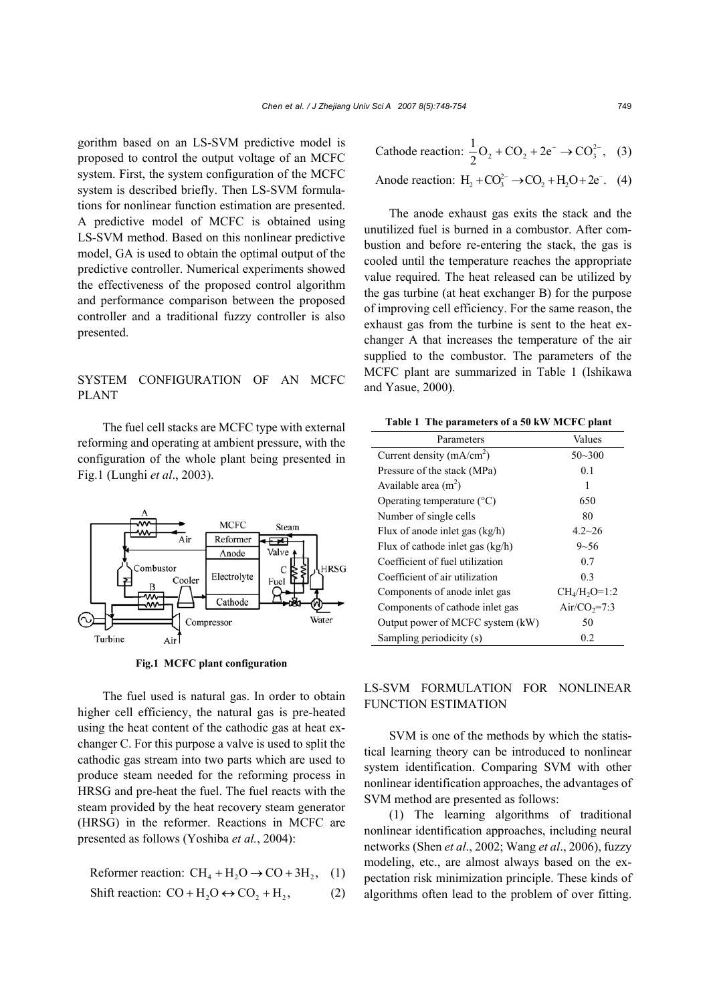gorithm based on an LS-SVM predictive model is proposed to control the output voltage of an MCFC system. First, the system configuration of the MCFC system is described briefly. Then LS-SVM formulations for nonlinear function estimation are presented. A predictive model of MCFC is obtained using LS-SVM method. Based on this nonlinear predictive model, GA is used to obtain the optimal output of the predictive controller. Numerical experiments showed the effectiveness of the proposed control algorithm and performance comparison between the proposed controller and a traditional fuzzy controller is also presented.

# SYSTEM CONFIGURATION OF AN MCFC PLANT

The fuel cell stacks are MCFC type with external reforming and operating at ambient pressure, with the configuration of the whole plant being presented in Fig.1 (Lunghi *et al*., 2003).



**Fig.1 MCFC plant configuration**

The fuel used is natural gas. In order to obtain higher cell efficiency, the natural gas is pre-heated using the heat content of the cathodic gas at heat exchanger C. For this purpose a valve is used to split the cathodic gas stream into two parts which are used to produce steam needed for the reforming process in HRSG and pre-heat the fuel. The fuel reacts with the steam provided by the heat recovery steam generator (HRSG) in the reformer. Reactions in MCFC are presented as follows (Yoshiba *et al.*, 2004):

Reformer reaction: 
$$
CH_4 + H_2O \rightarrow CO + 3H_2
$$
, (1)

Shift reaction: 
$$
CO + H_2O \leftrightarrow CO_2 + H_2
$$
, (2)

Cathode reaction: 
$$
\frac{1}{2}O_2 + CO_2 + 2e^- \rightarrow CO_3^{2-}
$$
, (3)

Anode reaction: 
$$
H_2 + CO_3^{2-} \rightarrow CO_2 + H_2O + 2e^-
$$
. (4)

The anode exhaust gas exits the stack and the unutilized fuel is burned in a combustor. After combustion and before re-entering the stack, the gas is cooled until the temperature reaches the appropriate value required. The heat released can be utilized by the gas turbine (at heat exchanger B) for the purpose of improving cell efficiency. For the same reason, the exhaust gas from the turbine is sent to the heat exchanger A that increases the temperature of the air supplied to the combustor. The parameters of the MCFC plant are summarized in Table 1 (Ishikawa and Yasue, 2000).

| Table 1 The parameters of a 50 KW MCPC plant |                          |
|----------------------------------------------|--------------------------|
| Parameters                                   | Values                   |
| Current density $(mA/cm2)$                   | $50 - 300$               |
| Pressure of the stack (MPa)                  | 0.1                      |
| Available area $(m2)$                        | 1                        |
| Operating temperature $(^{\circ}C)$          | 650                      |
| Number of single cells                       | 80                       |
| Flux of anode inlet gas $(kg/h)$             | $4.2 - 26$               |
| Flux of cathode inlet gas $(kg/h)$           | $9 - 56$                 |
| Coefficient of fuel utilization              | 0.7                      |
| Coefficient of air utilization               | 0 <sup>3</sup>           |
| Components of anode inlet gas                | $CH_{4}/H_{2}O=1:2$      |
| Components of cathode inlet gas              | Air/CO <sub>2</sub> =7:3 |
| Output power of MCFC system (kW)             | 50                       |
| Sampling periodicity (s)                     | 0.2                      |

**Table 1 The parameters of a 50 kW MCFC plant** 

# LS-SVM FORMULATION FOR NONLINEAR FUNCTION ESTIMATION

SVM is one of the methods by which the statistical learning theory can be introduced to nonlinear system identification. Comparing SVM with other nonlinear identification approaches, the advantages of SVM method are presented as follows:

(1) The learning algorithms of traditional nonlinear identification approaches, including neural networks (Shen *et al*., 2002; Wang *et al*., 2006), fuzzy modeling, etc., are almost always based on the expectation risk minimization principle. These kinds of algorithms often lead to the problem of over fitting.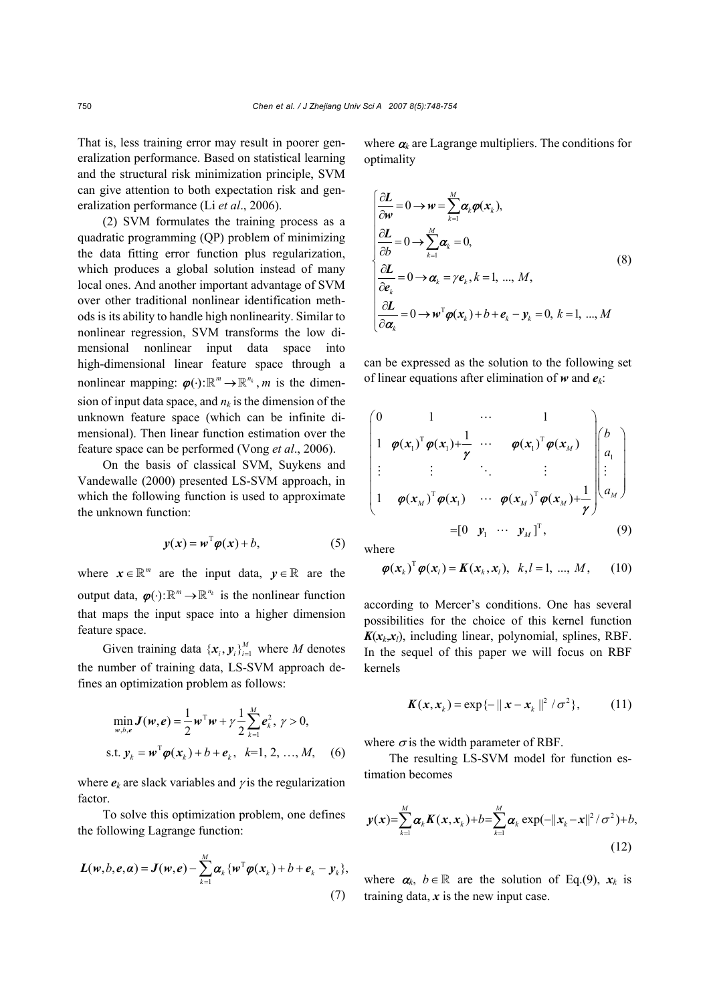That is, less training error may result in poorer generalization performance. Based on statistical learning and the structural risk minimization principle, SVM can give attention to both expectation risk and generalization performance (Li *et al*., 2006).

(2) SVM formulates the training process as a quadratic programming (QP) problem of minimizing the data fitting error function plus regularization, which produces a global solution instead of many local ones. And another important advantage of SVM over other traditional nonlinear identification methods is its ability to handle high nonlinearity. Similar to nonlinear regression, SVM transforms the low dimensional nonlinear input data space into high-dimensional linear feature space through a nonlinear mapping:  $\varphi(\cdot): \mathbb{R}^m \to \mathbb{R}^{n_k}$ , *m* is the dimension of input data space, and  $n_k$  is the dimension of the unknown feature space (which can be infinite dimensional). Then linear function estimation over the feature space can be performed (Vong *et al*., 2006).

On the basis of classical SVM, Suykens and Vandewalle (2000) presented LS-SVM approach, in which the following function is used to approximate the unknown function:

$$
y(x) = w^{\mathrm{T}} \varphi(x) + b, \tag{5}
$$

where  $x \in \mathbb{R}^m$  are the input data,  $y \in \mathbb{R}$  are the output data,  $\varphi(\cdot): \mathbb{R}^m \to \mathbb{R}^{n_k}$  is the nonlinear function that maps the input space into a higher dimension feature space.

Given training data  $\{x_i, y_i\}_{i=1}^M$  where *M* denotes the number of training data, LS-SVM approach defines an optimization problem as follows:

$$
\min_{w, b, e} \mathbf{J}(w, e) = \frac{1}{2} w^{\mathrm{T}} w + \gamma \frac{1}{2} \sum_{k=1}^{M} e_k^2, \gamma > 0,
$$
  
s.t.  $\mathbf{y}_k = w^{\mathrm{T}} \boldsymbol{\varphi}(\mathbf{x}_k) + b + \boldsymbol{e}_k, \quad k=1, 2, ..., M,$  (6)

where  $e_k$  are slack variables and  $\gamma$  is the regularization factor.

To solve this optimization problem, one defines the following Lagrange function:

$$
L(w,b,e,\alpha) = J(w,e) - \sum_{k=1}^{M} \alpha_k \{w^{\mathrm{T}} \varphi(x_k) + b + e_k - y_k\},\tag{7}
$$

where  $\alpha_k$  are Lagrange multipliers. The conditions for optimality

$$
\begin{cases}\n\frac{\partial \mathbf{L}}{\partial \mathbf{w}} = 0 \to \mathbf{w} = \sum_{k=1}^{M} \alpha_k \boldsymbol{\varphi}(\mathbf{x}_k), \\
\frac{\partial \mathbf{L}}{\partial b} = 0 \to \sum_{k=1}^{M} \alpha_k = 0, \\
\frac{\partial \mathbf{L}}{\partial \mathbf{e}_k} = 0 \to \mathbf{\alpha}_k = \gamma \mathbf{e}_k, k = 1, ..., M, \\
\frac{\partial \mathbf{L}}{\partial \mathbf{\alpha}_k} = 0 \to \mathbf{w}^{\mathrm{T}} \boldsymbol{\varphi}(\mathbf{x}_k) + b + \mathbf{e}_k - \mathbf{y}_k = 0, k = 1, ..., M\n\end{cases}
$$
\n(8)

can be expressed as the solution to the following set of linear equations after elimination of *w* and *ek*:

$$
\begin{pmatrix}\n0 & 1 & \cdots & 1 \\
1 & \boldsymbol{\varphi}(\mathbf{x}_1)^T \boldsymbol{\varphi}(\mathbf{x}_1) + \frac{1}{\gamma} & \cdots & \boldsymbol{\varphi}(\mathbf{x}_1)^T \boldsymbol{\varphi}(\mathbf{x}_M) \\
\vdots & \vdots & \ddots & \vdots \\
1 & \boldsymbol{\varphi}(\mathbf{x}_M)^T \boldsymbol{\varphi}(\mathbf{x}_1) & \cdots & \boldsymbol{\varphi}(\mathbf{x}_M)^T \boldsymbol{\varphi}(\mathbf{x}_M) + \frac{1}{\gamma}\n\end{pmatrix}\n\begin{pmatrix}\nb \\
a_1 \\
\vdots \\
a_M\n\end{pmatrix}
$$
\n
$$
= \begin{bmatrix}\n0 & \mathbf{y}_1 & \cdots & \mathbf{y}_M\n\end{bmatrix}^T,
$$
\n(9)

where

$$
\boldsymbol{\varphi}(\boldsymbol{x}_k)^{\mathrm{T}}\boldsymbol{\varphi}(\boldsymbol{x}_l) = \boldsymbol{K}(\boldsymbol{x}_k, \boldsymbol{x}_l), \ \ k, l = 1, \ \ldots, \ M, \tag{10}
$$

according to Mercer's conditions. One has several possibilities for the choice of this kernel function  $K(x_k, x_l)$ , including linear, polynomial, splines, RBF. In the sequel of this paper we will focus on RBF kernels

$$
\boldsymbol{K}(\boldsymbol{x}, \boldsymbol{x}_k) = \exp\{-\|\boldsymbol{x} - \boldsymbol{x}_k\|^2 / \sigma^2\},\qquad(11)
$$

where  $\sigma$  is the width parameter of RBF.

The resulting LS-SVM model for function estimation becomes

$$
y(x) = \sum_{k=1}^{M} \alpha_k K(x, x_k) + b = \sum_{k=1}^{M} \alpha_k \exp(-\|x_k - x\|^2 / \sigma^2) + b,
$$
\n(12)

where  $\alpha_k$ ,  $b \in \mathbb{R}$  are the solution of Eq.(9),  $x_k$  is training data,  $\boldsymbol{x}$  is the new input case.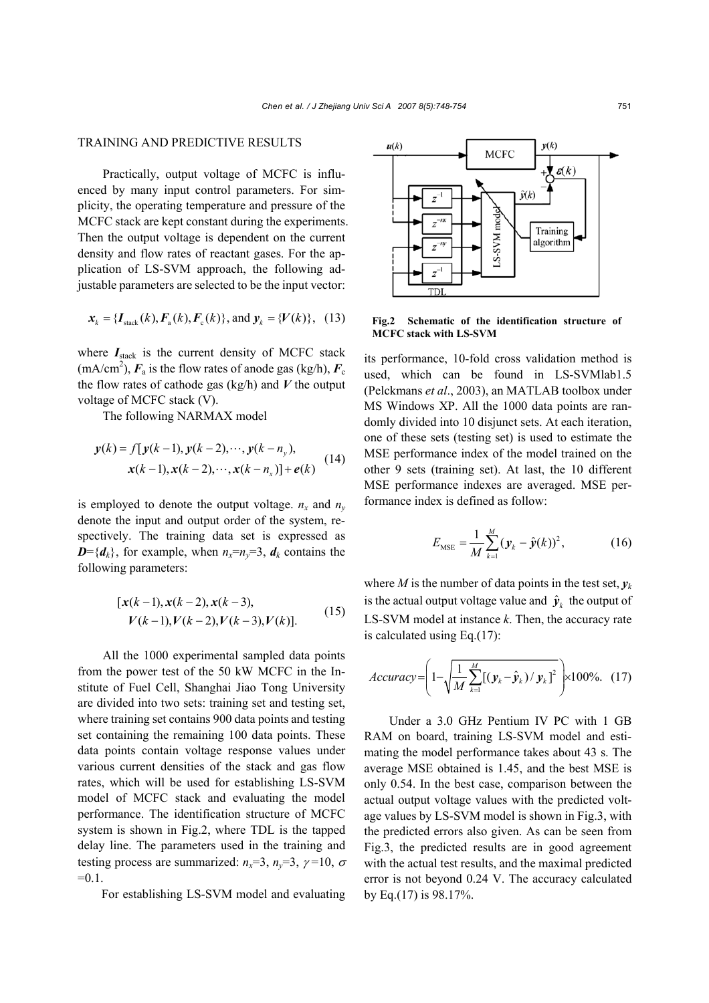## TRAINING AND PREDICTIVE RESULTS

Practically, output voltage of MCFC is influenced by many input control parameters. For simplicity, the operating temperature and pressure of the MCFC stack are kept constant during the experiments. Then the output voltage is dependent on the current density and flow rates of reactant gases. For the application of LS-SVM approach, the following adjustable parameters are selected to be the input vector:

$$
x_k = \{I_{\text{stack}}(k), F_a(k), F_c(k)\}\text{, and } y_k = \{V(k)\}\text{, (13)}
$$

where  $I_{\text{stack}}$  is the current density of MCFC stack  $(mA/cm<sup>2</sup>)$ ,  $F_a$  is the flow rates of anode gas (kg/h),  $F_c$ the flow rates of cathode gas (kg/h) and *V* the output voltage of MCFC stack (V).

The following NARMAX model

$$
y(k) = f[y(k-1), y(k-2), \cdots, y(k-ny),x(k-1), x(k-2), \cdots, x(k-nx)] + e(k)
$$
 (14)

is employed to denote the output voltage.  $n_x$  and  $n_y$ denote the input and output order of the system, respectively. The training data set is expressed as  $D = \{d_k\}$ , for example, when  $n_x = n_y = 3$ ,  $d_k$  contains the following parameters:

$$
[x(k-1), x(k-2), x(k-3),V(k-1), V(k-2), V(k-3), V(k)].
$$
 (15)

All the 1000 experimental sampled data points from the power test of the 50 kW MCFC in the Institute of Fuel Cell, Shanghai Jiao Tong University are divided into two sets: training set and testing set, where training set contains 900 data points and testing set containing the remaining 100 data points. These data points contain voltage response values under various current densities of the stack and gas flow rates, which will be used for establishing LS-SVM model of MCFC stack and evaluating the model performance. The identification structure of MCFC system is shown in Fig.2, where TDL is the tapped delay line. The parameters used in the training and testing process are summarized:  $n_x=3$ ,  $n_y=3$ ,  $\gamma=10$ ,  $\sigma$  $=0.1$ .

For establishing LS-SVM model and evaluating



**Fig.2 Schematic of the identification structure of MCFC stack with LS-SVM**

its performance, 10-fold cross validation method is used, which can be found in LS-SVMlab1.5 (Pelckmans *et al*., 2003), an MATLAB toolbox under MS Windows XP. All the 1000 data points are randomly divided into 10 disjunct sets. At each iteration, one of these sets (testing set) is used to estimate the MSE performance index of the model trained on the other 9 sets (training set). At last, the 10 different MSE performance indexes are averaged. MSE performance index is defined as follow:

$$
E_{\text{MSE}} = \frac{1}{M} \sum_{k=1}^{M} (\mathbf{y}_k - \hat{\mathbf{y}}(k))^2, \tag{16}
$$

where *M* is the number of data points in the test set, *y<sup>k</sup>* is the actual output voltage value and  $\hat{y}_k$  the output of LS-SVM model at instance *k*. Then, the accuracy rate is calculated using Eq.(17):

$$
Accuracy = \left(1 - \sqrt{\frac{1}{M} \sum_{k=1}^{M} [(\mathbf{y}_k - \hat{\mathbf{y}}_k) / \mathbf{y}_k]^2}\right) \times 100\%.
$$
 (17)

Under a 3.0 GHz Pentium IV PC with 1 GB RAM on board, training LS-SVM model and estimating the model performance takes about 43 s. The average MSE obtained is 1.45, and the best MSE is only 0.54. In the best case, comparison between the actual output voltage values with the predicted voltage values by LS-SVM model is shown in Fig.3, with the predicted errors also given. As can be seen from Fig.3, the predicted results are in good agreement with the actual test results, and the maximal predicted error is not beyond 0.24 V. The accuracy calculated by Eq.(17) is 98.17%.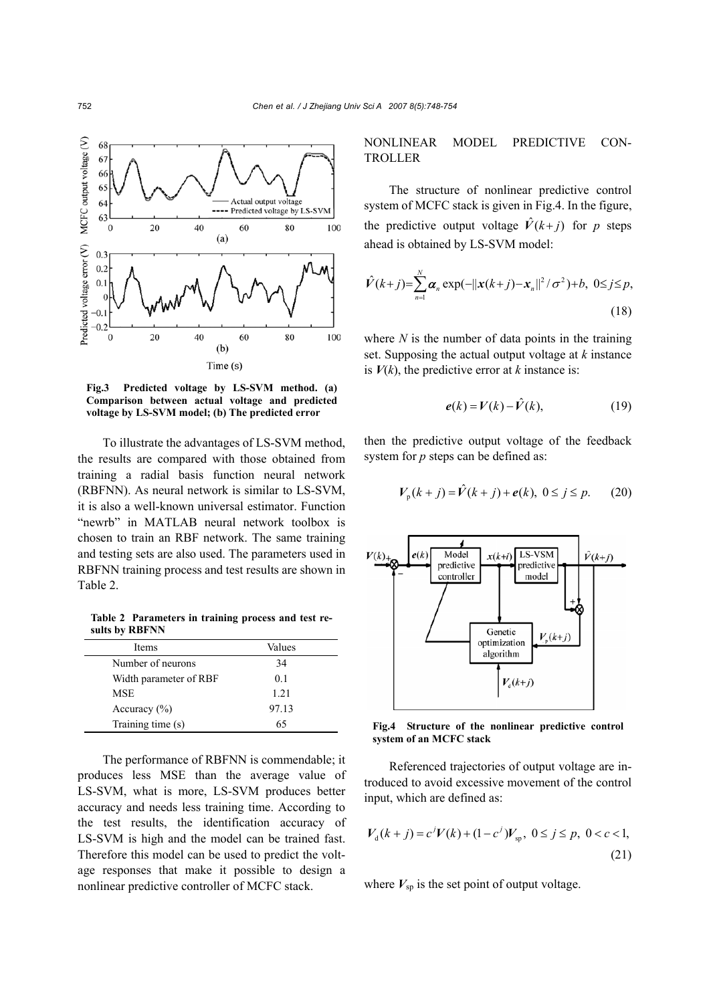

**Fig.3 Predicted voltage by LS-SVM method. (a) Comparison between actual voltage and predicted voltage by LS-SVM model; (b) The predicted error** 

To illustrate the advantages of LS-SVM method, the results are compared with those obtained from training a radial basis function neural network (RBFNN). As neural network is similar to LS-SVM, it is also a well-known universal estimator. Function "newrb" in MATLAB neural network toolbox is chosen to train an RBF network. The same training and testing sets are also used. The parameters used in RBFNN training process and test results are shown in Table 2.

**Table 2 Parameters in training process and test results by RBFNN** 

| Items                  | Values |
|------------------------|--------|
| Number of neurons      | 34     |
| Width parameter of RBF | 01     |
| <b>MSE</b>             | 1 2 1  |
| Accuracy $(\% )$       | 97.13  |
| Training time (s)      | 65     |

The performance of RBFNN is commendable; it produces less MSE than the average value of LS-SVM, what is more, LS-SVM produces better accuracy and needs less training time. According to the test results, the identification accuracy of LS-SVM is high and the model can be trained fast. Therefore this model can be used to predict the voltage responses that make it possible to design a nonlinear predictive controller of MCFC stack.

NONLINEAR MODEL PREDICTIVE CON-TROLLER

The structure of nonlinear predictive control system of MCFC stack is given in Fig.4. In the figure, the predictive output voltage  $\hat{V}(k+j)$  for *p* steps ahead is obtained by LS-SVM model:

$$
\hat{V}(k+j) = \sum_{n=1}^{N} \alpha_n \exp(-||x(k+j) - x_n||^2 / \sigma^2) + b, \ 0 \le j \le p,
$$
\n(18)

where *N* is the number of data points in the training set. Supposing the actual output voltage at *k* instance is  $V(k)$ , the predictive error at *k* instance is:

$$
e(k) = V(k) - \hat{V}(k), \qquad (19)
$$

then the predictive output voltage of the feedback system for *p* steps can be defined as:

$$
V_p(k+j) = \hat{V}(k+j) + e(k), \ 0 \le j \le p. \tag{20}
$$



Fig.4 Structure of the nonlinear predictive control **system of an MCFC stack**

Referenced trajectories of output voltage are introduced to avoid excessive movement of the control input, which are defined as:

$$
V_{d}(k+j) = c^{j}V(k) + (1-c^{j})V_{sp}, \ 0 \le j \le p, \ 0 < c < 1,
$$
\n(21)

where  $V_{\text{sp}}$  is the set point of output voltage.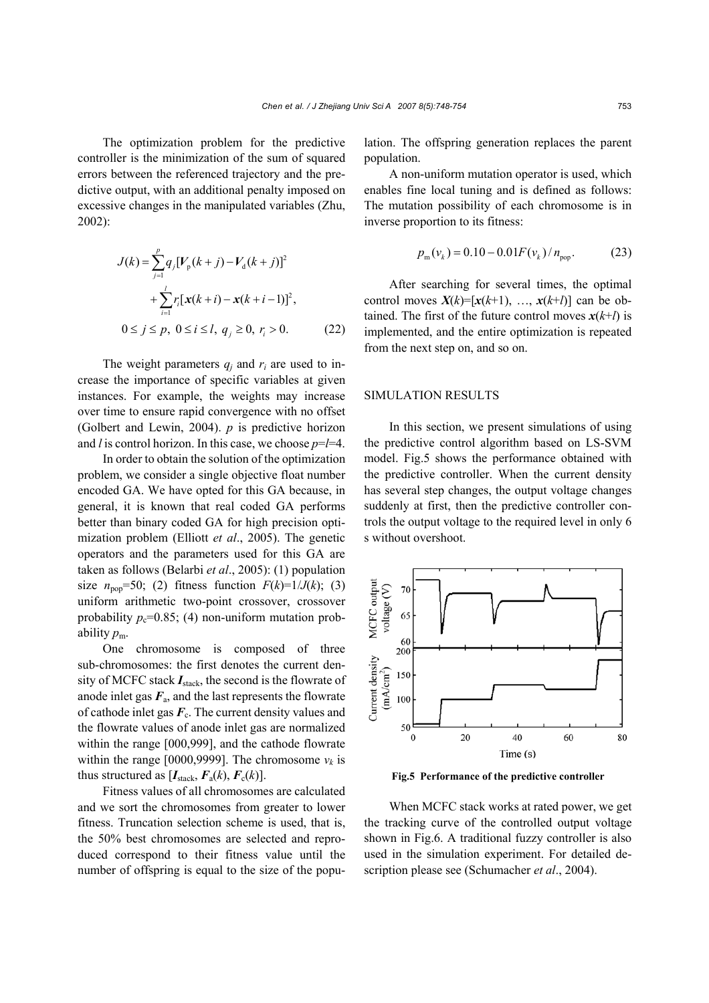The optimization problem for the predictive controller is the minimization of the sum of squared errors between the referenced trajectory and the predictive output, with an additional penalty imposed on excessive changes in the manipulated variables (Zhu, 2002):

$$
J(k) = \sum_{j=1}^{p} q_j [V_p(k+j) - V_d(k+j)]^2
$$
  
+ 
$$
\sum_{i=1}^{l} r_i [\mathbf{x}(k+i) - \mathbf{x}(k+i-1)]^2,
$$
  

$$
0 \le j \le p, \ 0 \le i \le l, \ q_j \ge 0, \ r_i > 0.
$$
 (22)

The weight parameters  $q_i$  and  $r_i$  are used to increase the importance of specific variables at given instances. For example, the weights may increase over time to ensure rapid convergence with no offset (Golbert and Lewin, 2004). *p* is predictive horizon and *l* is control horizon. In this case, we choose *p*=*l*=4.

In order to obtain the solution of the optimization problem, we consider a single objective float number encoded GA. We have opted for this GA because, in general, it is known that real coded GA performs better than binary coded GA for high precision optimization problem (Elliott *et al*., 2005). The genetic operators and the parameters used for this GA are taken as follows (Belarbi *et al*., 2005): (1) population size  $n_{\text{pop}} = 50$ ; (2) fitness function  $F(k)=1/J(k)$ ; (3) uniform arithmetic two-point crossover, crossover probability  $p_c=0.85$ ; (4) non-uniform mutation probability  $p_m$ .

One chromosome is composed of three sub-chromosomes: the first denotes the current density of MCFC stack  $I_{stack}$ , the second is the flowrate of anode inlet gas  $F_a$ , and the last represents the flowrate of cathode inlet gas  $\vec{F}_c$ . The current density values and the flowrate values of anode inlet gas are normalized within the range [000,999], and the cathode flowrate within the range [0000,9999]. The chromosome  $v_k$  is thus structured as  $[I_{\text{stack}}, F_a(k), F_c(k)]$ .

Fitness values of all chromosomes are calculated and we sort the chromosomes from greater to lower fitness. Truncation selection scheme is used, that is, the 50% best chromosomes are selected and reproduced correspond to their fitness value until the number of offspring is equal to the size of the population. The offspring generation replaces the parent population.

A non-uniform mutation operator is used, which enables fine local tuning and is defined as follows: The mutation possibility of each chromosome is in inverse proportion to its fitness:

$$
p_{\rm m}(v_k) = 0.10 - 0.01 F(v_k) / n_{\rm pop}.
$$
 (23)

After searching for several times, the optimal control moves  $X(k)=[x(k+1), \ldots, x(k+l)]$  can be obtained. The first of the future control moves  $x(k+1)$  is implemented, and the entire optimization is repeated from the next step on, and so on.

#### SIMULATION RESULTS

In this section, we present simulations of using the predictive control algorithm based on LS-SVM model. Fig.5 shows the performance obtained with the predictive controller. When the current density has several step changes, the output voltage changes suddenly at first, then the predictive controller controls the output voltage to the required level in only 6 s without overshoot.



**Fig.5 Performance of the predictive controller** 

When MCFC stack works at rated power, we get the tracking curve of the controlled output voltage shown in Fig.6. A traditional fuzzy controller is also used in the simulation experiment. For detailed description please see (Schumacher *et al*., 2004).